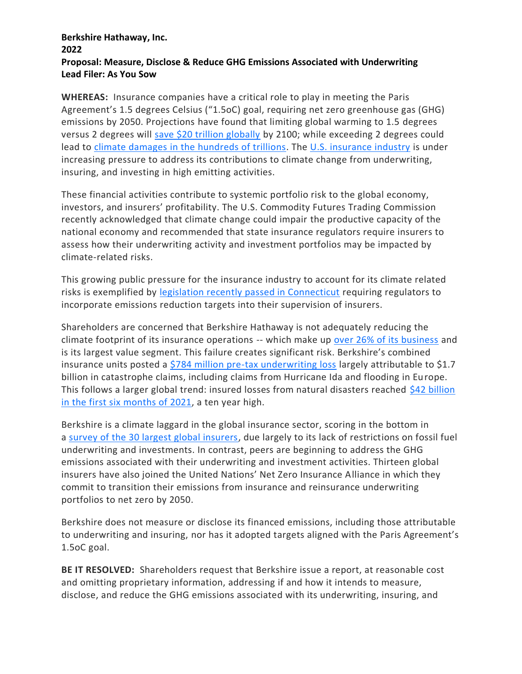## **Berkshire Hathaway, Inc. 2022 Proposal: Measure, Disclose & Reduce GHG Emissions Associated with Underwriting Lead Filer: As You Sow**

**WHEREAS:** Insurance companies have a critical role to play in meeting the Paris Agreement's 1.5 degrees Celsius ("1.5oC) goal, requiring net zero greenhouse gas (GHG) emissions by 2050. Projections have found that limiting global warming to 1.5 degrees versus 2 degrees will [save \\$20 trillion globally](https://www.nature.com/articles/d41586-018-05219-5) by 2100; while exceeding 2 degrees could lead to climate damages in the [hundreds of trillions.](https://www.nature.com/articles/s41467-020-18797-8/) The [U.S. insurance industry](https://shareaction.org/reports/insuring-disaster-a-ranking) is under increasing pressure to address its contributions to climate change from underwriting, insuring, and investing in high emitting activities.

These financial activities contribute to systemic portfolio risk to the global economy, investors, and insurers' profitability. The U.S. Commodity Futures Trading Commission recently acknowledged that climate change could impair the productive capacity of the national economy and recommended that state insurance regulators require insurers to assess how their underwriting activity and investment portfolios may be impacted by climate-related risks.

This growing public pressure for the insurance industry to account for its climate related risks is exemplified by [legislation recently passed in Connecticut](https://www.businessinsurance.com/article/20210617/NEWS06/912342605/Connecticut-bill-calls-for-regulation-of-insurers%E2%80%99-climate-risks) requiring regulators to incorporate emissions reduction targets into their supervision of insurers.

Shareholders are concerned that Berkshire Hathaway is not adequately reducing the climate footprint of its insurance operations -- which make up [over 26% of its business](https://www.spglobal.com/esg/insights/completing-data-gaps-in-environmental-performance-disclosure) and is its largest value segment. This failure creates significant risk. Berkshire's combined insurance units posted a [\\$784 million pre-tax underwriting loss](https://www.insurancejournal.com/news/national/2021/11/08/641046.htm) largely attributable to \$1.7 billion in catastrophe claims, including claims from Hurricane Ida and flooding in Europe. This follows a larger global trend: insured losses from natural disasters reached [\\$42 billion](https://www.weforum.org/agenda/2021/07/natural-disasters-cost-economic-insurance-2021-extreme-weather-floods-polar-vortex/)  [in the first six months of 2021,](https://www.weforum.org/agenda/2021/07/natural-disasters-cost-economic-insurance-2021-extreme-weather-floods-polar-vortex/) a ten year high.

Berkshire is a climate laggard in the global insurance sector, scoring in the bottom in a [survey of the 30 largest global insurers,](https://insure-our-future.com/scorecard) due largely to its lack of restrictions on fossil fuel underwriting and investments. In contrast, peers are beginning to address the GHG emissions associated with their underwriting and investment activities. Thirteen global insurers have also joined the United Nations' Net Zero Insurance Alliance in which they commit to transition their emissions from insurance and reinsurance underwriting portfolios to net zero by 2050.

Berkshire does not measure or disclose its financed emissions, including those attributable to underwriting and insuring, nor has it adopted targets aligned with the Paris Agreement's 1.5oC goal.

**BE IT RESOLVED:** Shareholders request that Berkshire issue a report, at reasonable cost and omitting proprietary information, addressing if and how it intends to measure, disclose, and reduce the GHG emissions associated with its underwriting, insuring, and